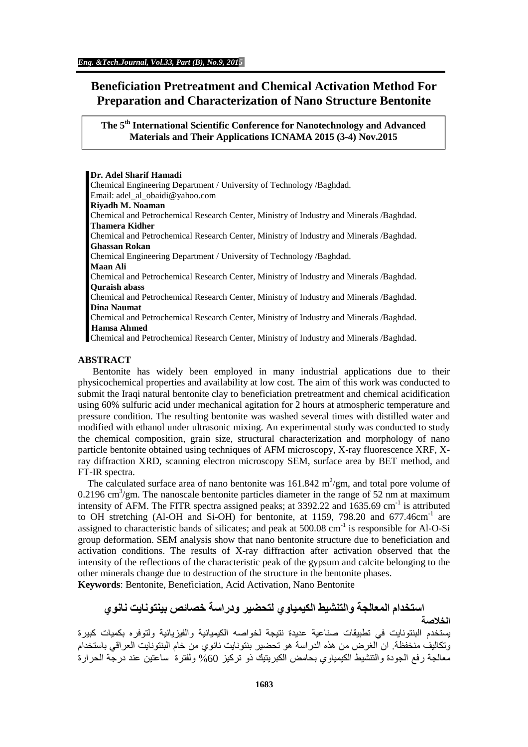# **Beneficiation Pretreatment and Chemical Activation Method For Preparation and Characterization of Nano Structure Bentonite**

**The 5th International Scientific Conference for Nanotechnology and Advanced Materials and Their Applications ICNAMA 2015 (3-4) Nov.2015**

### **Dr. Adel Sharif Hamadi**

Chemical Engineering Department / University of Technology /Baghdad. Email: adel\_al\_obaidi@yahoo.com **Riyadh M. Noaman** Chemical and Petrochemical Research Center, Ministry of Industry and Minerals /Baghdad. **Thamera Kidher** Chemical and Petrochemical Research Center, Ministry of Industry and Minerals /Baghdad. **Ghassan Rokan** Chemical Engineering Department / University of Technology /Baghdad. **Maan Ali** Chemical and Petrochemical Research Center, Ministry of Industry and Minerals /Baghdad. **Quraish abass** Chemical and Petrochemical Research Center, Ministry of Industry and Minerals /Baghdad. **Dina Naumat** Chemical and Petrochemical Research Center, Ministry of Industry and Minerals /Baghdad. **Hamsa Ahmed** Chemical and Petrochemical Research Center, Ministry of Industry and Minerals /Baghdad.

### **ABSTRACT**

Bentonite has widely been employed in many industrial applications due to their physicochemical properties and availability at low cost. The aim of this work was conducted to submit the Iraqi natural bentonite clay to beneficiation pretreatment and chemical acidification using 60% sulfuric acid under mechanical agitation for 2 hours at atmospheric temperature and pressure condition. The resulting bentonite was washed several times with distilled water and modified with ethanol under ultrasonic mixing. An experimental study was conducted to study the chemical composition, grain size, structural characterization and morphology of nano particle bentonite obtained using techniques of AFM microscopy, X-ray fluorescence XRF, Xray diffraction XRD, scanning electron microscopy SEM, surface area by BET method, and FT-IR spectra.

The calculated surface area of nano bentonite was  $161.842 \text{ m}^2/\text{gm}$ , and total pore volume of  $0.2196$  cm<sup>3</sup>/gm. The nanoscale bentonite particles diameter in the range of 52 nm at maximum intensity of AFM. The FITR spectra assigned peaks; at  $3392.22$  and  $1635.69$  cm<sup>-1</sup> is attributed to OH stretching (Al-OH and Si-OH) for bentonite, at 1159, 798.20 and 677.46cm<sup>-1</sup> are assigned to characteristic bands of silicates; and peak at 500.08 cm<sup>-1</sup> is responsible for Al-O-Si group deformation. SEM analysis show that nano bentonite structure due to beneficiation and activation conditions. The results of X-ray diffraction after activation observed that the intensity of the reflections of the characteristic peak of the gypsum and calcite belonging to the other minerals change due to destruction of the structure in the bentonite phases. **Keywords**: Bentonite, Beneficiation, Acid Activation, Nano Bentonite

# **استخدام المعالجة والتنشیط الكیمیاوي لتحضیر ودراسة خصائص بینتونایت نانوي**

**الخلاصة**

یستخدم البنتونایت في تطبیقات صناعیة عدیدة نتیجة لخواصھ الكیمیائیة والفیزیائیة ولتوفره بكمیات كبیرة وتكالیف منخفظة. ان الغرض من ھذه الدراسة ھو تحضیر بنتونایت نانوي من خام البنتونایت العراقي باستخدام معالجة رفع الجودة والتنشیط الكیمیاوي بحامض الكبریتیك ذو تركیز %60 ولفترة ساعتین عند درجة الحرارة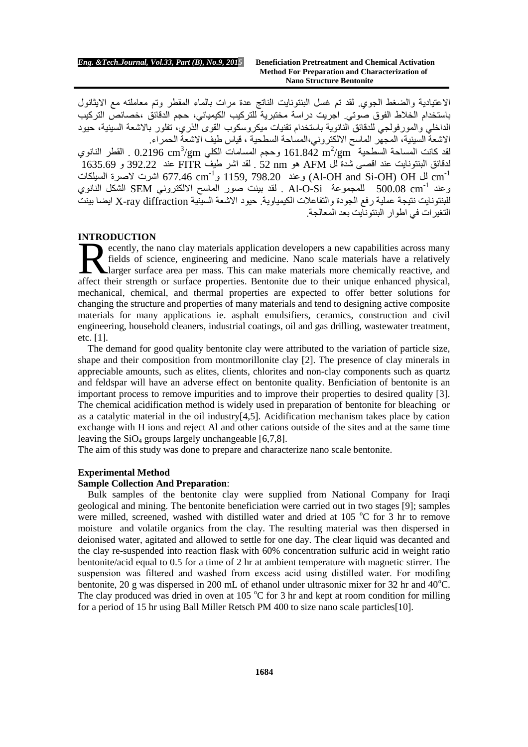الاعتیادیة والضغط الجوي. لقد تم غسل البنتونایت الناتج عدة مرات بالماء المقطر وتم معاملتھ مع الایثانول باستخدام الخلاط الفوق صوتي. اجریت دراسة مختبریة للتركیب الكیمیائي، حجم الدقائق ،خصائص التركیب الداخلي والمورفولجي للدقائق النانویة باستخدام تقنیات میكروسكوب القوى الذري، تفلور بالاشعة السینیة، حیود الاشعة السینیة، المجھر الماسح الالكتروني،المساحة السطحیة ، قیاس طیف الاشعة الحمراء.

لقد كانت المساحة السطحية  $\rm{m}^2/\rm{g}$   $\rm{m}^2/\rm{g}$  وحجم المسامات الكلي  $\rm{cm}^3/\rm{g}$   $\rm{cm}$  . القطر النانوي لدقائق البنتونایت عند اقصى شدة لل AFM ھو nm 52 . لقد اشر طیف FITR عند 392.22 و 1635.69 ل Cm $^{-1}$  (Al-OH and Si-OH) OH وعند  $\sim 1159,\ 798.20$  و $^{-1}$  cm $^{-1}$  اشرت لاصرة السیلكات  $\rm cm^{-1}$ وعند 500.08  $\,$  للمجموعة Al-O-Si . لقد بينت صور الماسح الالكتروني  $\,$  SEM الشكل النانوي  $\,$ للبنتونایت نتیجة عملیة رفع الجودة والتفاعلات الكیمیاویة. حیود الاشعة السینیة diffraction ray-X ایضا بینت التغیرات في اطوار البنتونایت بعد المعالجة.

### **INTRODUCTION**

ecently, the nano clay materials application developers a new capabilities across many fields of science, engineering and medicine. Nano scale materials have a relatively larger surface area per mass. This can make materials more chemically reactive, and and medicine. Nano scale materials are capabilities across many fields of science, engineering and medicine. Nano scale materials have a relatively larger surface area per mass. This can make materials more chemically reac mechanical, chemical, and thermal properties are expected to offer better solutions for changing the structure and properties of many materials and tend to designing active composite materials for many applications ie. asphalt emulsifiers, ceramics, construction and civil engineering, household cleaners, industrial coatings, oil and gas drilling, wastewater treatment, etc. [1].

The demand for good quality bentonite clay were attributed to the variation of particle size, shape and their composition from montmorillonite clay [2]. The presence of clay minerals in appreciable amounts, such as elites, clients, chlorites and non-clay components such as quartz and feldspar will have an adverse effect on bentonite quality. Benficiation of bentonite is an important process to remove impurities and to improve their properties to desired quality [3]. The chemical acidification method is widely used in preparation of bentonite for bleaching or as a catalytic material in the oil industry[4,5]. Acidification mechanism takes place by cation exchange with H ions and reject Al and other cations outside of the sites and at the same time leaving the  $SiO<sub>4</sub>$  groups largely unchangeable [6,7,8].

The aim of this study was done to prepare and characterize nano scale bentonite.

## **Experimental Method**

# **Sample Collection And Preparation**:

Bulk samples of the bentonite clay were supplied from National Company for Iraqi geological and mining. The bentonite beneficiation were carried out in two stages [9]; samples were milled, screened, washed with distilled water and dried at  $105\degree C$  for 3 hr to remove moisture and volatile organics from the clay. The resulting material was then dispersed in deionised water, agitated and allowed to settle for one day. The clear liquid was decanted and the clay re-suspended into reaction flask with 60% concentration sulfuric acid in weight ratio bentonite/acid equal to 0.5 for a time of 2 hr at ambient temperature with magnetic stirrer. The suspension was filtered and washed from excess acid using distilled water. For modifing bentonite, 20 g was dispersed in 200 mL of ethanol under ultrasonic mixer for 32 hr and  $40^{\circ}$ C. The clay produced was dried in oven at 105  $^{\circ}$ C for 3 hr and kept at room condition for milling for a period of 15 hr using Ball Miller Retsch PM 400 to size nano scale particles[10].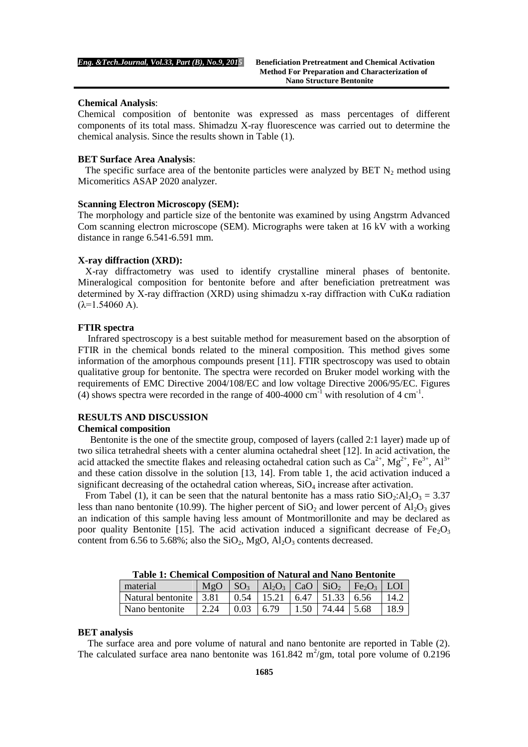# **Chemical Analysis**:

Chemical composition of bentonite was expressed as mass percentages of different components of its total mass. Shimadzu X-ray fluorescence was carried out to determine the chemical analysis. Since the results shown in Table (1).

# **BET Surface Area Analysis**:

The specific surface area of the bentonite particles were analyzed by BET  $N_2$  method using Micomeritics ASAP 2020 analyzer.

### **Scanning Electron Microscopy (SEM):**

The morphology and particle size of the bentonite was examined by using Angstrm Advanced Com scanning electron microscope (SEM). Micrographs were taken at 16 kV with a working distance in range 6.541-6.591 mm.

# **X-ray diffraction (XRD):**

X-ray diffractometry was used to identify crystalline mineral phases of bentonite. Mineralogical composition for bentonite before and after beneficiation pretreatment was determined by X-ray diffraction (XRD) using shimadzu x-ray diffraction with  $CuKa$  radiation  $(λ=1.54060 A).$ 

# **FTIR spectra**

Infrared spectroscopy is a best suitable method for measurement based on the absorption of FTIR in the chemical bonds related to the mineral composition. This method gives some information of the amorphous compounds present [11]. FTIR spectroscopy was used to obtain qualitative group for bentonite. The spectra were recorded on Bruker model working with the requirements of EMC Directive 2004/108/EC and low voltage Directive 2006/95/EC. Figures (4) shows spectra were recorded in the range of 400-4000 cm<sup>-1</sup> with resolution of 4 cm<sup>-1</sup>.

# **RESULTS AND DISCUSSION**

# **Chemical composition**

Bentonite is the one of the smectite group, composed of layers (called 2:1 layer) made up of two silica tetrahedral sheets with a center alumina octahedral sheet [12]. In acid activation, the acid attacked the smectite flakes and releasing octahedral cation such as  $Ca^{2+}$ ,  $Mg^{2+}$ ,  $Fe^{3+}$ ,  $Al^{3+}$ and these cation dissolve in the solution [13, 14]. From table 1, the acid activation induced a significant decreasing of the octahedral cation whereas,  $SiO<sub>4</sub>$  increase after activation.

From Tabel (1), it can be seen that the natural bentonite has a mass ratio  $SiO_2:Al_2O_3 = 3.37$ less than nano bentonite (10.99). The higher percent of  $SiO<sub>2</sub>$  and lower percent of  $Al<sub>2</sub>O<sub>3</sub>$  gives an indication of this sample having less amount of Montmorillonite and may be declared as poor quality Bentonite [15]. The acid activation induced a significant decrease of Fe<sub>2</sub>O<sub>3</sub> content from 6.56 to 5.68%; also the  $SiO_2$ , MgO,  $Al_2O_3$  contents decreased.

| Table 1: Chemical Composition of Natural and Nano Bentonite |      |                 |                                                                  |  |                     |                                            |      |  |  |  |
|-------------------------------------------------------------|------|-----------------|------------------------------------------------------------------|--|---------------------|--------------------------------------------|------|--|--|--|
| material                                                    | MgO  |                 | $SO_3$   Al <sub>2</sub> O <sub>3</sub>   CaO   SiO <sub>2</sub> |  |                     | $\vert$ Fe <sub>2</sub> O <sub>3</sub> LOI |      |  |  |  |
| Natural bentonite   3.81                                    |      |                 | $10.54$   15.21   6.47   51.33   6.56                            |  |                     |                                            | 14.2 |  |  |  |
| Nano bentonite                                              | 2.24 | $0.03 \pm 6.79$ |                                                                  |  | $1.50$ 174.44 15.68 |                                            | 18.9 |  |  |  |

**Table 1: Chemical Composition of Natural and Nano Bentonite**

### **BET analysis**

The surface area and pore volume of natural and nano bentonite are reported in Table (2). The calculated surface area nano bentonite was 161.842  $m^2/gm$ , total pore volume of 0.2196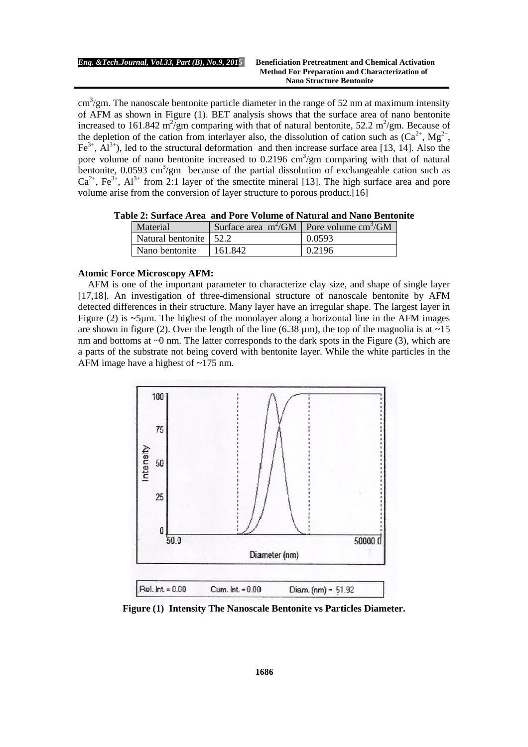$\text{cm}^3/\text{gm}$ . The nanoscale bentonite particle diameter in the range of 52 nm at maximum intensity of AFM as shown in Figure (1). BET analysis shows that the surface area of nano bentonite increased to 161.842 m<sup>2</sup>/gm comparing with that of natural bentonite, 52.2 m<sup>2</sup>/gm. Because of the depletion of the cation from interlayer also, the dissolution of cation such as  $(Ca^{2+}, Mg^{2+},$  $Fe^{3+}$ ,  $Al^{3+}$ ), led to the structural deformation and then increase surface area [13, 14]. Also the pore volume of nano bentonite increased to  $0.2196 \text{ cm}^3/\text{gm}$  comparing with that of natural bentonite,  $0.0593 \text{ cm}^3/\text{gm}$  because of the partial dissolution of exchangeable cation such as  $Ca^{2+}$ ,  $Fe^{3+}$ ,  $Al^{3+}$  from 2:1 layer of the smectite mineral [13]. The high surface area and pore volume arise from the conversion of layer structure to porous product.[16]

|                          |         | abie 2. Suitace Alea "and I off" volume of ivalural and ivano bentom |  |
|--------------------------|---------|----------------------------------------------------------------------|--|
| Material                 |         | Surface area $m^2/GM$   Pore volume cm <sup>3</sup> /GM              |  |
| Natural bentonite 1 52.2 |         | 0.0593                                                               |  |
| Nano bentonite           | 161.842 | 0.2196                                                               |  |

| Table 2: Surface Area and Pore Volume of Natural and Nano Bentonite |  |
|---------------------------------------------------------------------|--|
|---------------------------------------------------------------------|--|

### **Atomic Force Microscopy AFM:**

AFM is one of the important parameter to characterize clay size, and shape of single layer [17,18]. An investigation of three-dimensional structure of nanoscale bentonite by AFM detected differences in their structure. Many layer have an irregular shape. The largest layer in Figure (2) is  $\sim$ 5µm. The highest of the monolayer along a horizontal line in the AFM images are shown in figure (2). Over the length of the line (6.38  $\mu$ m), the top of the magnolia is at ~15 nm and bottoms at  $\sim$ 0 nm. The latter corresponds to the dark spots in the Figure (3), which are a parts of the substrate not being coverd with bentonite layer. While the white particles in the AFM image have a highest of ~175 nm.



**Figure (1) Intensity The Nanoscale Bentonite vs Particles Diameter.**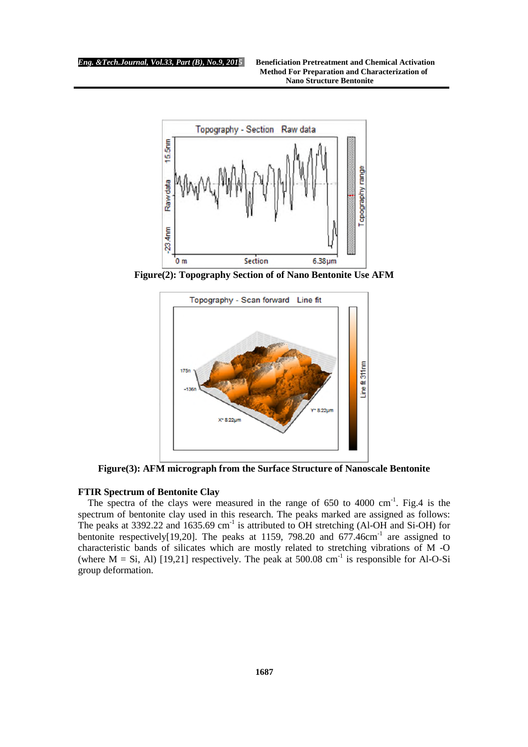

**Figure(2): Topography Section of of Nano Bentonite Use AFM**



**Figure(3): AFM micrograph from the Surface Structure of Nanoscale Bentonite**

# **FTIR Spectrum of Bentonite Clay**

The spectra of the clays were measured in the range of  $650$  to  $4000 \text{ cm}^{-1}$ . Fig.4 is the spectrum of bentonite clay used in this research. The peaks marked are assigned as follows: The peaks at 3392.22 and 1635.69 cm<sup>-1</sup> is attributed to OH stretching (Al-OH and Si-OH) for bentonite respectively[19,20]. The peaks at 1159, 798.20 and  $677.46 \text{cm}^{-1}$  are assigned to characteristic bands of silicates which are mostly related to stretching vibrations of M -O (where  $M = Si$ , Al) [19,21] respectively. The peak at 500.08 cm<sup>-1</sup> is responsible for Al-O-Si group deformation.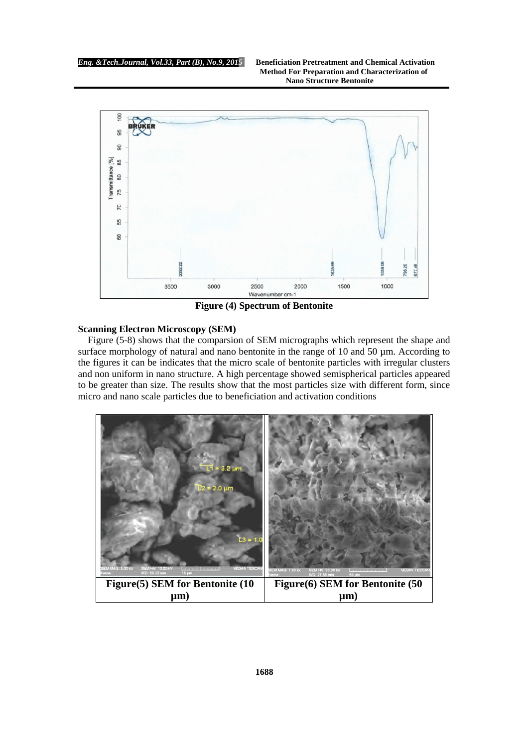

**Figure (4) Spectrum of Bentonite**

# **Scanning Electron Microscopy (SEM)**

Figure (5-8) shows that the comparsion of SEM micrographs which represent the shape and surface morphology of natural and nano bentonite in the range of 10 and 50  $\mu$ m. According to the figures it can be indicates that the micro scale of bentonite particles with irregular clusters and non uniform in nano structure. A high percentage showed semispherical particles appeared to be greater than size. The results show that the most particles size with different form, since micro and nano scale particles due to beneficiation and activation conditions

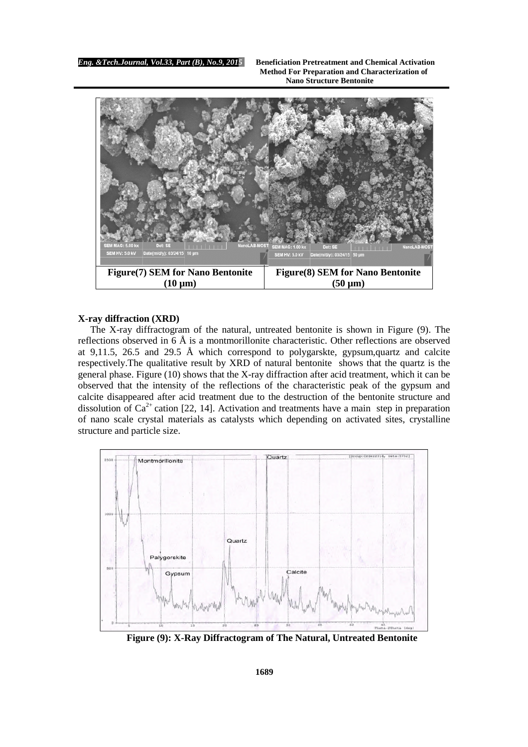

### **X-ray diffraction (XRD)**

The X-ray diffractogram of the natural, untreated bentonite is shown in Figure (9). The reflections observed in 6 Å is a montmorillonite characteristic. Other reflections are observed at 9,11.5, 26.5 and 29.5 Å which correspond to polygarskte, gypsum,quartz and calcite respectively.The qualitative result by XRD of natural bentonite shows that the quartz is the general phase. Figure (10) shows that the X-ray diffraction after acid treatment, which it can be observed that the intensity of the reflections of the characteristic peak of the gypsum and calcite disappeared after acid treatment due to the destruction of the bentonite structure and dissolution of  $Ca^{2+}$  cation [22, 14]. Activation and treatments have a main step in preparation of nano scale crystal materials as catalysts which depending on activated sites, crystalline structure and particle size.



**Figure (9): X-Ray Diffractogram of The Natural, Untreated Bentonite**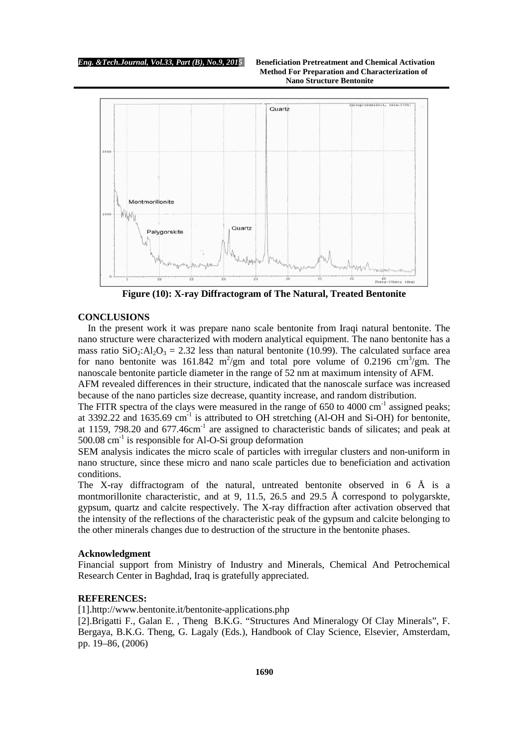

**Figure (10): X-ray Diffractogram of The Natural, Treated Bentonite**

## **CONCLUSIONS**

In the present work it was prepare nano scale bentonite from Iraqi natural bentonite. The nano structure were characterized with modern analytical equipment. The nano bentonite has a mass ratio  $SiO_2$ : $Al_2O_3 = 2.32$  less than natural bentonite (10.99). The calculated surface area for nano bentonite was 161.842 m<sup>2</sup>/gm and total pore volume of 0.2196 cm<sup>3</sup>/gm. The nanoscale bentonite particle diameter in the range of 52 nm at maximum intensity of AFM.

AFM revealed differences in their structure, indicated that the nanoscale surface was increased because of the nano particles size decrease, quantity increase, and random distribution.

The FITR spectra of the clays were measured in the range of  $650$  to  $4000 \text{ cm}^{-1}$  assigned peaks; at 3392.22 and 1635.69 cm<sup>-1</sup> is attributed to OH stretching (Al-OH and Si-OH) for bentonite, at 1159, 798.20 and 677.46cm<sup>-1</sup> are assigned to characteristic bands of silicates; and peak at  $500.08$  cm<sup>-1</sup> is responsible for Al-O-Si group deformation

SEM analysis indicates the micro scale of particles with irregular clusters and non-uniform in nano structure, since these micro and nano scale particles due to beneficiation and activation conditions.

The X-ray diffractogram of the natural, untreated bentonite observed in  $6 \text{ Å}$  is a montmorillonite characteristic, and at 9, 11.5, 26.5 and 29.5 Å correspond to polygarskte, gypsum, quartz and calcite respectively. The X-ray diffraction after activation observed that the intensity of the reflections of the characteristic peak of the gypsum and calcite belonging to the other minerals changes due to destruction of the structure in the bentonite phases.

### **Acknowledgment**

Financial support from Ministry of Industry and Minerals, Chemical And Petrochemical Research Center in Baghdad, Iraq is gratefully appreciated.

# **REFERENCES:**

[1].http://www.bentonite.it/bentonite-applications.php

[2].Brigatti F., Galan E. , Theng B.K.G. "Structures And Mineralogy Of Clay Minerals", F. Bergaya, B.K.G. Theng, G. Lagaly (Eds.), Handbook of Clay Science, Elsevier, Amsterdam, pp. 19–86, (2006)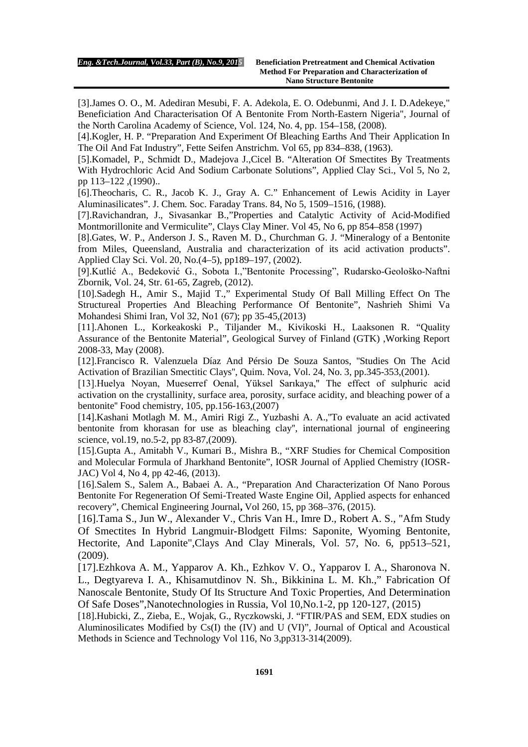[3].James O. O., M. Adediran Mesubi, F. A. Adekola, E. O. Odebunmi, And J. I. D.Adekeye," Beneficiation And Characterisation Of A Bentonite From North-Eastern Nigeria", Journal of the North Carolina Academy of Science, Vol. 124, No. 4, pp. 154–158, (2008).

[4].Kogler, H. P. "Preparation And Experiment Of Bleaching Earths And Their Application In The Oil And Fat Industry", Fette Seifen Anstrichm. Vol 65, pp 834–838, (1963).

[5].Komadel, P., Schmidt D., Madejova J.,Cicel B. "Alteration Of Smectites By Treatments With Hydrochloric Acid And Sodium Carbonate Solutions", Applied Clay Sci., Vol 5, No 2, pp 113–122 ,(1990)..

[6].Theocharis, C. R., Jacob K. J., Gray A. C." Enhancement of Lewis Acidity in Layer Aluminasilicates". J. Chem. Soc. Faraday Trans. 84, No 5, 1509–1516, (1988).

[7].Ravichandran, J., Sivasankar B.,"Properties and Catalytic Activity of Acid-Modified Montmorillonite and Vermiculite", Clays Clay Miner. Vol 45, No 6, pp 854–858 (1997)

[8].Gates, W. P., Anderson J. S., Raven M. D., Churchman G. J. "Mineralogy of a Bentonite from Miles, Queensland, Australia and characterization of its acid activation products". Applied Clay Sci. Vol. 20, No.(4–5), pp189–197, (2002).

[9].Kutlić A., Bedeković G., Sobota I.,"Bentonite Processing", Rudarsko-Geološko-Naftni Zbornik, Vol. 24, Str. 61-65, Zagreb, (2012).

[10].Sadegh H., Amir S., Majid T.," Experimental Study Of Ball Milling Effect On The Structureal Properties And Bleaching Performance Of Bentonite", Nashrieh Shimi Va Mohandesi Shimi Iran, Vol 32, No1 (67); pp 35-45,(2013)

[11].Ahonen L., Korkeakoski P., Tiljander M., Kivikoski H., Laaksonen R. "Quality Assurance of the Bentonite Material", Geological Survey of Finland (GTK) ,Working Report 2008-33, May (2008).

[12].Francisco R. Valenzuela Díaz And Pérsio De Souza Santos, ''Studies On The Acid Activation of Brazilian Smectitic Clays'', Quim. Nova*,* Vol. 24, No. 3, pp.345-353,(2001).

[13].Huelya Noyan, Mueserref Oenal, Yüksel Sarıkaya," The effect of sulphuric acid activation on the crystallinity, surface area, porosity, surface acidity, and bleaching power of a bentonite'' Food chemistry, 105, pp.156-163,(2007)

[14].Kashani Motlagh M. M., Amiri Rigi Z., Yuzbashi A. A.,''To evaluate an acid activated bentonite from khorasan for use as bleaching clay'', international journal of engineering science, vol.19, no.5-2, pp 83-87,(2009).

[15].Gupta A., Amitabh V., Kumari B., Mishra B., "XRF Studies for Chemical Composition and Molecular Formula of Jharkhand Bentonite", IOSR Journal of Applied Chemistry (IOSR-JAC) Vol 4, No 4, pp 42-46, (2013).

[16].Salem S., Salem A., Babaei A. A., "Preparation And Characterization Of Nano Porous Bentonite For Regeneration Of Semi-Treated Waste Engine Oil, Applied aspects for enhanced recovery", Chemical Engineering Journal**,** Vol 260, 15, pp 368–376, (2015).

[16].Tama S., Jun W., Alexander V., Chris Van H., Imre D., Robert A. S., "Afm Study Of Smectites In Hybrid Langmuir-Blodgett Films: Saponite, Wyoming Bentonite, Hectorite, And Laponite",Clays And Clay Minerals, Vol. 57, No. 6, pp513–521, (2009).

[17].Ezhkova A. M., Yapparov A. Kh., Ezhkov V. O., Yapparov I. A., Sharonova N. L., Degtyareva I. A., Khisamutdinov N. Sh., Bikkinina L. M. Kh.," Fabrication Of Nanoscale Bentonite, Study Of Its Structure And Toxic Properties, And Determination Of Safe Doses",Nanotechnologies in Russia, Vol 10,No.1-2, pp 120-127, (2015)

[18].Hubicki, Z., Zieba, E., Wojak, G., Ryczkowski, J. "FTIR/PAS and SEM, EDX studies on Aluminosilicates Modified by Cs(I) the (IV) and U (VI)", Journal of Optical and Acoustical Methods in Science and Technology Vol 116, No 3,pp313-314(2009).